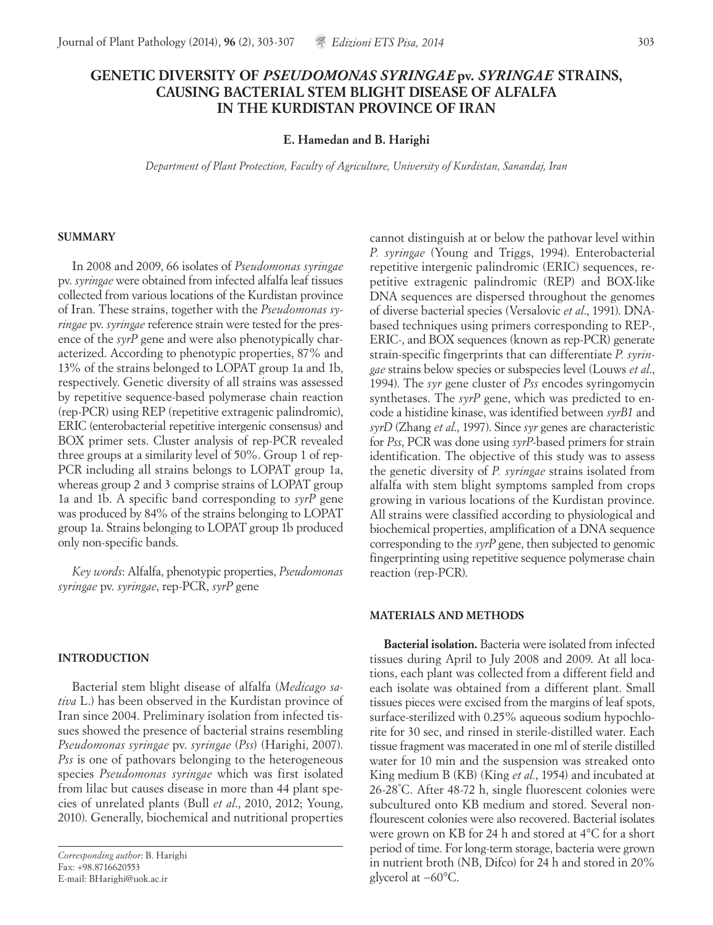# **GENETIC DIVERSITY OF** *PSEUDOMONAS SYRINGAE* **pv.** *SYRINGAE* **STRAINS, CAUSING BACTERIAL STEM BLIGHT DISEASE OF ALFALFA IN THE KURDISTAN PROVINCE OF IRAN**

#### **E. Hamedan and B. Harighi**

*Department of Plant Protection, Faculty of Agriculture, University of Kurdistan, Sanandaj, Iran*

#### **SUMMARY**

In 2008 and 2009, 66 isolates of *Pseudomonas syringae*  pv. *syringae* were obtained from infected alfalfa leaf tissues collected from various locations of the Kurdistan province of Iran. These strains, together with the *Pseudomonas syringae* pv. *syringae* reference strain were tested for the presence of the *syrP* gene and were also phenotypically characterized. According to phenotypic properties, 87% and 13% of the strains belonged to LOPAT group 1a and 1b, respectively. Genetic diversity of all strains was assessed by repetitive sequence-based polymerase chain reaction (rep-PCR) using REP (repetitive extragenic palindromic), ERIC (enterobacterial repetitive intergenic consensus) and BOX primer sets. Cluster analysis of rep-PCR revealed three groups at a similarity level of 50%. Group 1 of rep-PCR including all strains belongs to LOPAT group 1a, whereas group 2 and 3 comprise strains of LOPAT group 1a and 1b. A specific band corresponding to *syrP* gene was produced by 84% of the strains belonging to LOPAT group 1a. Strains belonging to LOPAT group 1b produced only non-specific bands.

*Key words*: Alfalfa, phenotypic properties, *Pseudomonas syringae* pv. *syringae*, rep-PCR, *syrP* gene

## **INTRODUCTION**

Bacterial stem blight disease of alfalfa (*Medicago sativa* L.) has been observed in the Kurdistan province of Iran since 2004. Preliminary isolation from infected tissues showed the presence of bacterial strains resembling *Pseudomonas syringae* pv. *syringae* (*Pss*) (Harighi, 2007). *Pss* is one of pathovars belonging to the heterogeneous species *Pseudomonas syringae* which was first isolated from lilac but causes disease in more than 44 plant species of unrelated plants (Bull *et al*., 2010, 2012; Young, 2010). Generally, biochemical and nutritional properties

cannot distinguish at or below the pathovar level within *P. syringae* (Young and Triggs, 1994). Enterobacterial repetitive intergenic palindromic (ERIC) sequences, repetitive extragenic palindromic (REP) and BOX-like DNA sequences are dispersed throughout the genomes of diverse bacterial species (Versalovic *et al*., 1991). DNAbased techniques using primers corresponding to REP-, ERIC-, and BOX sequences (known as rep-PCR) generate strain-specific fingerprints that can differentiate *P. syringae* strains below species or subspecies level (Louws *et al*., 1994). The *syr* gene cluster of *Pss* encodes syringomycin synthetases. The *syrP* gene, which was predicted to encode a histidine kinase, was identified between *syrB1* and *syrD* (Zhang *et al*., 1997). Since *syr* genes are characteristic for *Pss*, PCR was done using *syrP*-based primers for strain identification. The objective of this study was to assess the genetic diversity of *P. syringae* strains isolated from alfalfa with stem blight symptoms sampled from crops growing in various locations of the Kurdistan province. All strains were classified according to physiological and biochemical properties, amplification of a DNA sequence corresponding to the *syrP* gene, then subjected to genomic fingerprinting using repetitive sequence polymerase chain reaction (rep-PCR).

# **MATERIALS AND METHODS**

**Bacterial isolation.** Bacteria were isolated from infected tissues during April to July 2008 and 2009. At all locations, each plant was collected from a different field and each isolate was obtained from a different plant. Small tissues pieces were excised from the margins of leaf spots, surface-sterilized with 0.25% aqueous sodium hypochlorite for 30 sec, and rinsed in sterile-distilled water. Each tissue fragment was macerated in one ml of sterile distilled water for 10 min and the suspension was streaked onto King medium B (KB) (King *et al.*, 1954) and incubated at 26-28° C. After 48-72 h, single fluorescent colonies were subcultured onto KB medium and stored. Several nonflourescent colonies were also recovered. Bacterial isolates were grown on KB for 24 h and stored at 4°C for a short period of time. For long-term storage, bacteria were grown in nutrient broth (NB, Difco) for 24 h and stored in 20% glycerol at −60°C.

*Corresponding author*: B. Harighi Fax: +98.8716620553 E-mail: BHarighi@uok.ac.ir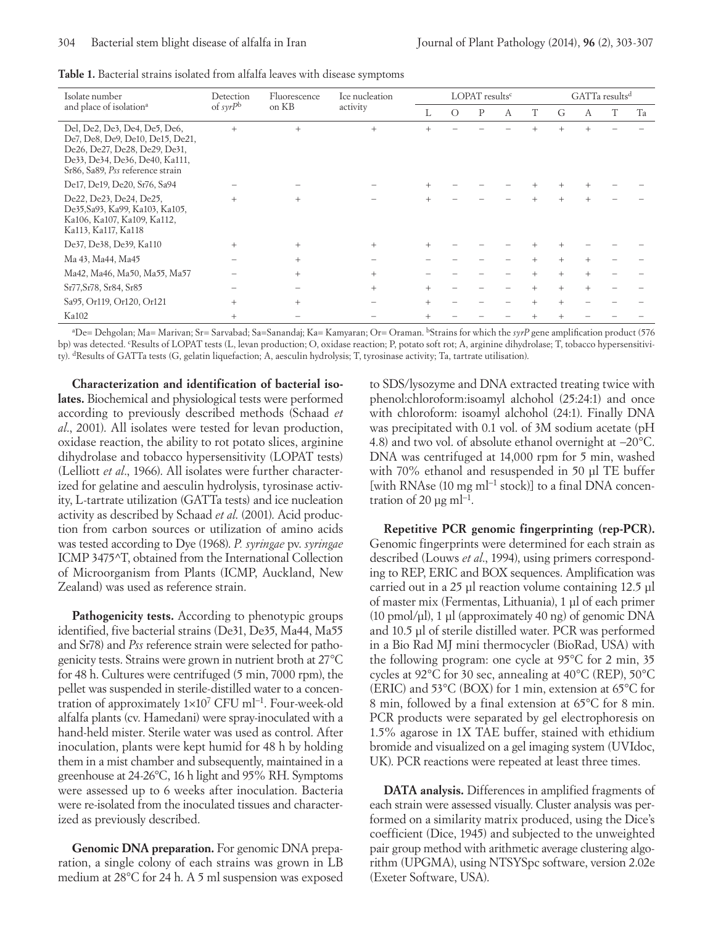| Isolate number<br>and place of isolation <sup>a</sup>                                                                                                                    | Detection<br>of $syrP^b$ | Fluorescence<br>on KB | Ice nucleation<br>activity | LOPAT results <sup>c</sup> |          |   |   |   | GATTa results <sup>d</sup> |        |   |    |
|--------------------------------------------------------------------------------------------------------------------------------------------------------------------------|--------------------------|-----------------------|----------------------------|----------------------------|----------|---|---|---|----------------------------|--------|---|----|
|                                                                                                                                                                          |                          |                       |                            | L                          | $\Omega$ | P | А | T | G                          | А      | T | Ta |
| Del, De2, De3, De4, De5, De6,<br>De7, De8, De9, De10, De15, De21,<br>De26, De27, De28, De29, De31,<br>De33, De34, De36, De40, Ka111,<br>Sr86, Sa89, Pss reference strain | $+$                      | $^{+}$                | $+$                        |                            |          |   |   |   |                            |        |   |    |
| De17, De19, De20, Sr76, Sa94                                                                                                                                             |                          |                       |                            | $^{+}$                     |          |   |   |   |                            |        |   |    |
| De22, De23, De24, De25,<br>De35, Sa93, Ka99, Ka103, Ka105,<br>Ka106, Ka107, Ka109, Ka112,<br>Ka113, Ka117, Ka118                                                         | $+$                      | $+$                   |                            | $^{+}$                     |          |   |   |   |                            | $+$    |   |    |
| De37, De38, De39, Ka110                                                                                                                                                  | $^{+}$                   | $+$                   | $^{+}$                     | $^{+}$                     |          |   |   |   |                            |        |   |    |
| Ma 43, Ma44, Ma45                                                                                                                                                        |                          | $+$                   |                            |                            |          |   |   |   |                            | $+$    |   |    |
| Ma42, Ma46, Ma50, Ma55, Ma57                                                                                                                                             |                          | $+$                   | $^{+}$                     |                            |          |   |   |   |                            | $^{+}$ |   |    |
| Sr77, Sr78, Sr84, Sr85                                                                                                                                                   |                          |                       | $^{+}$                     | $^{+}$                     |          |   |   |   |                            | $^{+}$ |   |    |
| Sa95, Or119, Or120, Or121                                                                                                                                                | $^{+}$                   | $+$                   |                            | $^{+}$                     |          |   |   |   |                            |        |   |    |
| Ka102                                                                                                                                                                    | $^{+}$                   |                       |                            |                            |          |   |   |   |                            |        |   |    |

**Table 1.** Bacterial strains isolated from alfalfa leaves with disease symptoms

aDe= Dehgolan; Ma= Marivan; Sr= Sarvabad; Sa=Sanandaj; Ka= Kamyaran; Or= Oraman. bStrains for which the *syrP* gene amplification product (576 bp) was detected. 'Results of LOPAT tests (L, levan production; O, oxidase reaction; P, potato soft rot; A, arginine dihydrolase; T, tobacco hypersensitivity). <sup>d</sup>Results of GATTa tests (G, gelatin liquefaction; A, aesculin hydrolysis; T, tyrosinase activity; Ta, tartrate utilisation).

**Characterization and identification of bacterial isolates.** Biochemical and physiological tests were performed according to previously described methods (Schaad *et al*., 2001). All isolates were tested for levan production, oxidase reaction, the ability to rot potato slices, arginine dihydrolase and tobacco hypersensitivity (LOPAT tests) (Lelliott *et al*., 1966). All isolates were further characterized for gelatine and aesculin hydrolysis, tyrosinase activity, L-tartrate utilization (GATTa tests) and ice nucleation activity as described by Schaad *et al*. (2001). Acid production from carbon sources or utilization of amino acids was tested according to Dye (1968). *P. syringae* pv. *syringae* ICMP 3475^T, obtained from the International Collection of Microorganism from Plants (ICMP, Auckland, New Zealand) was used as reference strain.

**Pathogenicity tests.** According to phenotypic groups identified, five bacterial strains (De31, De35, Ma44, Ma55 and Sr78) and *Pss* reference strain were selected for pathogenicity tests. Strains were grown in nutrient broth at 27°C for 48 h. Cultures were centrifuged (5 min, 7000 rpm), the pellet was suspended in sterile-distilled water to a concentration of approximately 1×107 CFU ml−1. Four-week-old alfalfa plants (cv. Hamedani) were spray-inoculated with a hand-held mister. Sterile water was used as control. After inoculation, plants were kept humid for 48 h by holding them in a mist chamber and subsequently, maintained in a greenhouse at 24-26°C, 16 h light and 95% RH. Symptoms were assessed up to 6 weeks after inoculation. Bacteria were re-isolated from the inoculated tissues and characterized as previously described.

**Genomic DNA preparation.** For genomic DNA preparation, a single colony of each strains was grown in LB medium at 28°C for 24 h. A 5 ml suspension was exposed

to SDS/lysozyme and DNA extracted treating twice with phenol:chloroform:isoamyl alchohol (25:24:1) and once with chloroform: isoamyl alchohol (24:1). Finally DNA was precipitated with 0.1 vol. of 3M sodium acetate (pH 4.8) and two vol. of absolute ethanol overnight at −20°C. DNA was centrifuged at 14,000 rpm for 5 min, washed with 70% ethanol and resuspended in 50 µl TE buffer [with RNAse (10 mg m<sup>-1</sup> stock)] to a final DNA concentration of 20 µg m $l^{-1}$ .

**Repetitive PCR genomic fingerprinting (rep-PCR).**  Genomic fingerprints were determined for each strain as described (Louws *et al*., 1994), using primers corresponding to REP, ERIC and BOX sequences. Amplification was carried out in a 25 µl reaction volume containing 12.5 µl of master mix (Fermentas, Lithuania), 1 µl of each primer (10 pmol/ $\mu$ l), 1  $\mu$ l (approximately 40 ng) of genomic DNA and 10.5 µl of sterile distilled water. PCR was performed in a Bio Rad MJ mini thermocycler (BioRad, USA) with the following program: one cycle at 95°C for 2 min, 35 cycles at 92°C for 30 sec, annealing at 40°C (REP), 50°C (ERIC) and 53°C (BOX) for 1 min, extension at 65°C for 8 min, followed by a final extension at 65°C for 8 min. PCR products were separated by gel electrophoresis on 1.5% agarose in 1X TAE buffer, stained with ethidium bromide and visualized on a gel imaging system (UVIdoc, UK). PCR reactions were repeated at least three times.

**DATA analysis.** Differences in amplified fragments of each strain were assessed visually. Cluster analysis was performed on a similarity matrix produced, using the Dice's coefficient (Dice, 1945) and subjected to the unweighted pair group method with arithmetic average clustering algorithm (UPGMA), using NTSYSpc software, version 2.02e (Exeter Software, USA).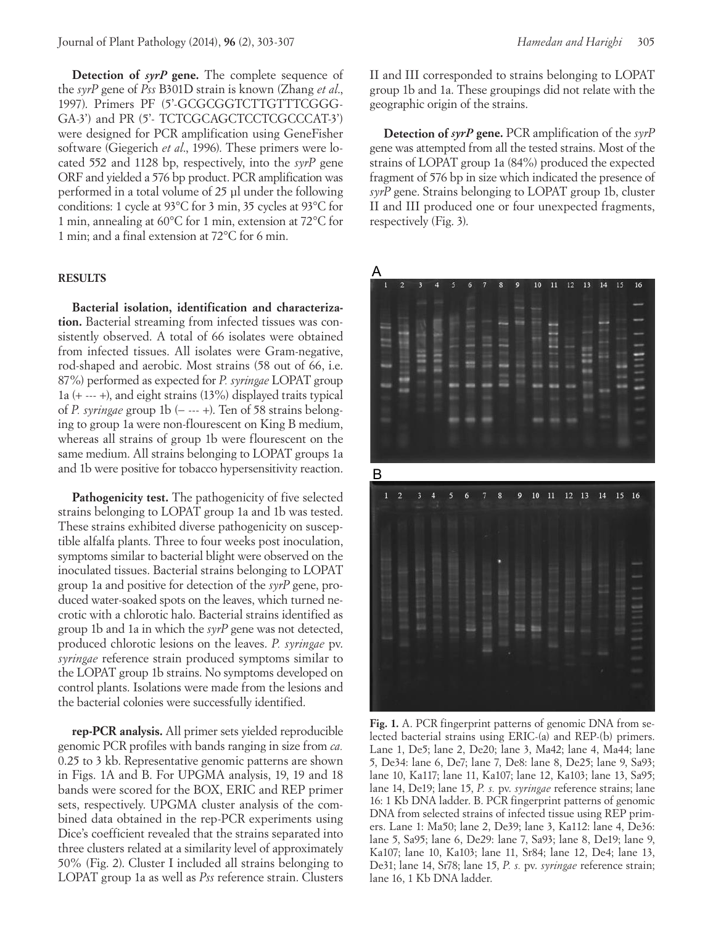**Detection of** *syrP* **gene.** The complete sequence of the *syrP* gene of *Pss* B301D strain is known (Zhang *et al*., 1997). Primers PF (5'-GCGCGGTCTTGTTTCGGG-GA-3') and PR (5'- TCTCGCAGCTCCTCGCCCAT-3') were designed for PCR amplification using GeneFisher software (Giegerich *et al*., 1996). These primers were located 552 and 1128 bp, respectively, into the *syrP* gene ORF and yielded a 576 bp product. PCR amplification was performed in a total volume of 25 µl under the following conditions: 1 cycle at 93°C for 3 min, 35 cycles at 93°C for 1 min, annealing at  $60^{\circ}$ C for 1 min, extension at  $72^{\circ}$ C for 1 min; and a final extension at 72°C for 6 min.

### **RESULTS**

**Bacterial isolation, identification and characterization.** Bacterial streaming from infected tissues was consistently observed. A total of 66 isolates were obtained from infected tissues. All isolates were Gram-negative, rod-shaped and aerobic. Most strains (58 out of 66, i.e. 87%) performed as expected for *P. syringae* LOPAT group 1a (+ --- +), and eight strains (13%) displayed traits typical of *P. syringae* group 1b (− --- +). Ten of 58 strains belonging to group 1a were non-flourescent on King B medium, whereas all strains of group 1b were flourescent on the same medium. All strains belonging to LOPAT groups 1a and 1b were positive for tobacco hypersensitivity reaction.

Pathogenicity test. The pathogenicity of five selected strains belonging to LOPAT group 1a and 1b was tested. These strains exhibited diverse pathogenicity on susceptible alfalfa plants. Three to four weeks post inoculation, symptoms similar to bacterial blight were observed on the inoculated tissues. Bacterial strains belonging to LOPAT group 1a and positive for detection of the *syrP* gene, produced water-soaked spots on the leaves, which turned necrotic with a chlorotic halo. Bacterial strains identified as group 1b and 1a in which the *syrP* gene was not detected, produced chlorotic lesions on the leaves. *P. syringae* pv. *syringae* reference strain produced symptoms similar to the LOPAT group 1b strains. No symptoms developed on control plants. Isolations were made from the lesions and the bacterial colonies were successfully identified.

**rep-PCR analysis.** All primer sets yielded reproducible genomic PCR profiles with bands ranging in size from *ca.* 0.25 to 3 kb. Representative genomic patterns are shown in Figs. 1A and B. For UPGMA analysis, 19, 19 and 18 bands were scored for the BOX, ERIC and REP primer sets, respectively. UPGMA cluster analysis of the combined data obtained in the rep-PCR experiments using Dice's coefficient revealed that the strains separated into three clusters related at a similarity level of approximately 50% (Fig. 2). Cluster I included all strains belonging to LOPAT group 1a as well as *Pss* reference strain. Clusters II and III corresponded to strains belonging to LOPAT group 1b and 1a. These groupings did not relate with the geographic origin of the strains.

**Detection of** *syrP* **gene.** PCR amplification of the *syrP* gene was attempted from all the tested strains. Most of the strains of LOPAT group 1a (84%) produced the expected fragment of 576 bp in size which indicated the presence of *syrP* gene. Strains belonging to LOPAT group 1b, cluster II and III produced one or four unexpected fragments, respectively (Fig. 3).

 $\underline{A}$ B B  $10<sup>°</sup>$  $11^\circ$ 12 13 14 15 16

**Fig. 1.** A. PCR fingerprint patterns of genomic DNA from selected bacterial strains using ERIC-(a) and REP-(b) primers. Lane 1, De5; lane 2, De20; lane 3, Ma42; lane 4, Ma44; lane 5, De34: lane 6, De7; lane 7, De8: lane 8, De25; lane 9, Sa93; lane 10, Ka117; lane 11, Ka107; lane 12, Ka103; lane 13, Sa95; lane 14, De19; lane 15, *P. s.* pv. *syringae* reference strains; lane 16: 1 Kb DNA ladder. B. PCR fingerprint patterns of genomic DNA from selected strains of infected tissue using REP primers. Lane 1: Ma50; lane 2, De39; lane 3, Ka112: lane 4, De36: lane 5, Sa95; lane 6, De29: lane 7, Sa93; lane 8, De19; lane 9, Ka107; lane 10, Ka103; lane 11, Sr84; lane 12, De4; lane 13, De31; lane 14, Sr78; lane 15, *P. s.* pv. *syringae* reference strain; lane 16, 1 Kb DNA ladder.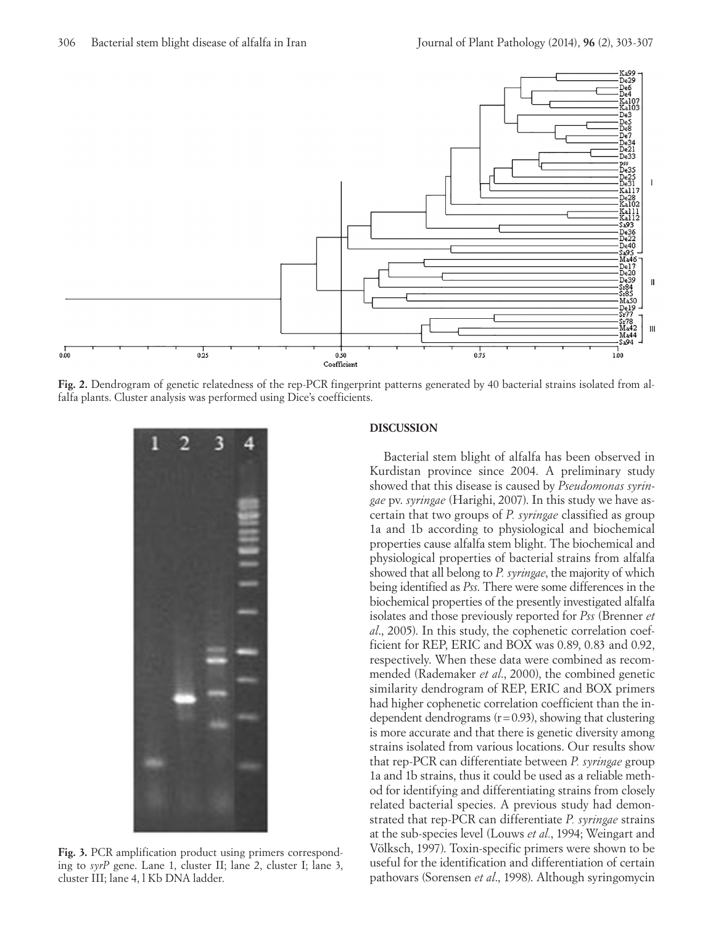

**Fig. 2.** Dendrogram of genetic relatedness of the rep-PCR fingerprint patterns generated by 40 bacterial strains isolated from alfalfa plants. Cluster analysis was performed using Dice's coefficients.



Fig. 3. PCR amplification product using primers corresponding to *syrP* gene. Lane 1, cluster II; lane 2, cluster I; lane 3, cluster III; lane 4, l Kb DNA ladder.

#### **DISCUSSION**

Bacterial stem blight of alfalfa has been observed in Kurdistan province since 2004. A preliminary study showed that this disease is caused by *Pseudomonas syringae* pv. *syringae* (Harighi, 2007). In this study we have ascertain that two groups of *P. syringae* classified as group 1a and 1b according to physiological and biochemical properties cause alfalfa stem blight. The biochemical and physiological properties of bacterial strains from alfalfa showed that all belong to *P. syringae*, the majority of which being identified as *Pss*. There were some differences in the biochemical properties of the presently investigated alfalfa isolates and those previously reported for *Pss* (Brenner *et al*., 2005). In this study, the cophenetic correlation coefficient for REP, ERIC and BOX was 0.89, 0.83 and 0.92, respectively. When these data were combined as recommended (Rademaker *et al*., 2000), the combined genetic similarity dendrogram of REP, ERIC and BOX primers had higher cophenetic correlation coefficient than the independent dendrograms  $(r=0.93)$ , showing that clustering is more accurate and that there is genetic diversity among strains isolated from various locations. Our results show that rep-PCR can differentiate between *P. syringae* group 1a and 1b strains, thus it could be used as a reliable method for identifying and differentiating strains from closely related bacterial species. A previous study had demonstrated that rep-PCR can differentiate *P. syringae* strains at the sub-species level (Louws *et al.*, 1994; Weingart and Völksch, 1997). Toxin-specific primers were shown to be useful for the identification and differentiation of certain pathovars (Sorensen *et al*., 1998). Although syringomycin